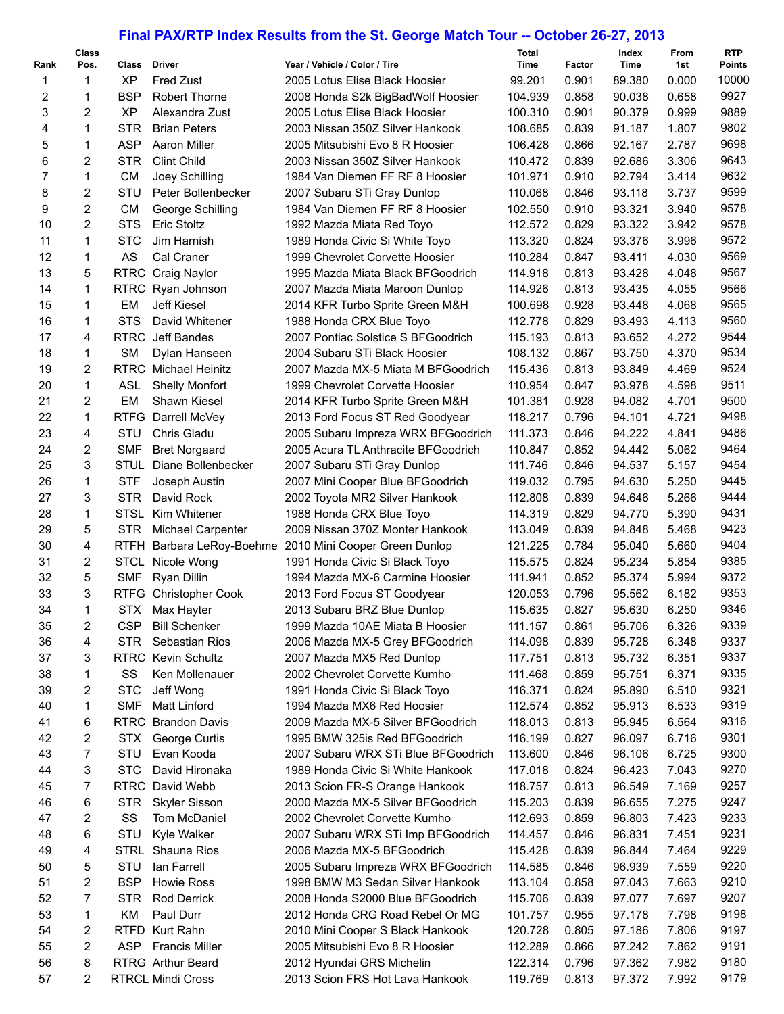## **Final PAX/RTP Index Results from the St. George Match Tour -- October 26-27, 2013**

| 10000<br><b>XP</b><br>1<br>1<br><b>Fred Zust</b><br>2005 Lotus Elise Black Hoosier<br>99.201<br>0.901<br>89.380<br>0.000<br>9927<br>2<br>1<br><b>BSP</b><br><b>Robert Thorne</b><br>104.939<br>0.658<br>2008 Honda S2k BigBadWolf Hoosier<br>0.858<br>90.038<br>3<br>2<br><b>XP</b><br>9889<br>100.310<br>90.379<br>0.999<br>Alexandra Zust<br>2005 Lotus Elise Black Hoosier<br>0.901<br>9802<br>1<br><b>STR</b><br>4<br><b>Brian Peters</b><br>2003 Nissan 350Z Silver Hankook<br>1.807<br>108.685<br>0.839<br>91.187<br>5<br>1<br><b>ASP</b><br>Aaron Miller<br>2005 Mitsubishi Evo 8 R Hoosier<br>92.167<br>2.787<br>106.428<br>0.866<br>6<br>2<br><b>STR</b><br><b>Clint Child</b><br>2003 Nissan 350Z Silver Hankook<br>0.839<br>92.686<br>3.306<br>110.472<br>1<br>7<br><b>CM</b><br>Joey Schilling<br>1984 Van Diemen FF RF 8 Hoosier<br>101.971<br>92.794<br>3.414<br>0.910<br>2<br>8<br>STU<br>93.118<br>3.737<br>Peter Bollenbecker<br>2007 Subaru STi Gray Dunlop<br>110.068<br>0.846<br>2<br>9<br>CM<br>George Schilling<br>1984 Van Diemen FF RF 8 Hoosier<br>0.910<br>93.321<br>3.940<br>102.550<br>$\overline{2}$<br><b>STS</b><br>0.829<br>93.322<br>3.942<br>10<br>Eric Stoltz<br>1992 Mazda Miata Red Toyo<br>112.572<br>11<br>1<br><b>STC</b><br>Jim Harnish<br>113.320<br>0.824<br>93.376<br>3.996<br>1989 Honda Civic Si White Toyo<br>12<br>AS<br>1<br>110.284<br>0.847<br>93.411<br>4.030<br>Cal Craner<br>1999 Chevrolet Corvette Hoosier<br>13<br>5<br>RTRC Craig Naylor<br>1995 Mazda Miata Black BFGoodrich<br>114.918<br>0.813<br>93.428<br>4.048<br>14<br>1<br>RTRC Ryan Johnson<br>0.813<br>93.435<br>2007 Mazda Miata Maroon Dunlop<br>114.926<br>4.055<br>15<br>1<br>EM<br><b>Jeff Kiesel</b><br>0.928<br>93.448<br>4.068<br>2014 KFR Turbo Sprite Green M&H<br>100.698<br>16<br>1<br><b>STS</b><br>David Whitener<br>0.829<br>93.493<br>4.113<br>1988 Honda CRX Blue Toyo<br>112.778<br>17<br>4<br><b>RTRC</b><br>Jeff Bandes<br>2007 Pontiac Solstice S BFGoodrich<br>115.193<br>0.813<br>93.652<br>4.272<br>18<br>1<br><b>SM</b><br>108.132<br>0.867<br>93.750<br>4.370<br>Dylan Hanseen<br>2004 Subaru STi Black Hoosier<br>2<br>19<br>RTRC Michael Heinitz<br>115.436<br>0.813<br>93.849<br>4.469<br>2007 Mazda MX-5 Miata M BFGoodrich<br>9511<br>20<br>1<br>ASL<br>110.954<br>0.847<br>93.978<br>4.598<br><b>Shelly Monfort</b><br>1999 Chevrolet Corvette Hoosier<br>9500<br>21<br>2<br>EM<br>Shawn Kiesel<br>101.381<br>0.928<br>94.082<br>4.701<br>2014 KFR Turbo Sprite Green M&H<br>9498<br>22<br>1<br>RTFG Darrell McVey<br>118.217<br>0.796<br>4.721<br>2013 Ford Focus ST Red Goodyear<br>94.101<br>23<br>9486<br>4<br>STU<br>Chris Gladu<br>111.373<br>4.841<br>2005 Subaru Impreza WRX BFGoodrich<br>0.846<br>94.222<br>9464<br>2<br>24<br><b>SMF</b><br>110.847<br>0.852<br>94.442<br>5.062<br><b>Bret Norgaard</b><br>2005 Acura TL Anthracite BFGoodrich<br>3<br>25<br>STUL Diane Bollenbecker<br>2007 Subaru STi Gray Dunlop<br>94.537<br>5.157<br>111.746<br>0.846<br>26<br>1<br><b>STF</b><br>94.630<br>5.250<br>Joseph Austin<br>2007 Mini Cooper Blue BFGoodrich<br>119.032<br>0.795<br>27<br>3<br><b>STR</b><br>David Rock<br>0.839<br>94.646<br>5.266<br>2002 Toyota MR2 Silver Hankook<br>112.808<br>28<br>1<br>STSL Kim Whitener<br>114.319<br>0.829<br>94.770<br>5.390<br>1988 Honda CRX Blue Toyo<br>29<br>5<br><b>STR</b><br>0.839<br>5.468<br>Michael Carpenter<br>2009 Nissan 370Z Monter Hankook<br>113.049<br>94.848<br>30<br>0.784<br>5.660<br>4<br>RTFH Barbara LeRoy-Boehme<br>2010 Mini Cooper Green Dunlop<br>121.225<br>95.040<br>31<br>2<br>115.575<br>0.824<br>95.234<br>5.854<br>STCL Nicole Wong<br>1991 Honda Civic Si Black Toyo<br>32<br>5<br>0.852<br>95.374<br>5.994<br><b>SMF</b><br>Ryan Dillin<br>1994 Mazda MX-6 Carmine Hoosier<br>111.941<br>33<br>3<br>2013 Ford Focus ST Goodyear<br>0.796<br>95.562<br>6.182<br>RTFG Christopher Cook<br>120.053<br>34<br>1<br><b>STX</b><br>2013 Subaru BRZ Blue Dunlop<br>115.635<br>0.827<br>95.630<br>6.250<br>Max Hayter<br>2<br>35<br><b>Bill Schenker</b><br>1999 Mazda 10AE Miata B Hoosier<br>111.157<br>6.326<br><b>CSP</b><br>0.861<br>95.706<br>36<br>4<br>STR.<br>Sebastian Rios<br>2006 Mazda MX-5 Grey BFGoodrich<br>114.098<br>0.839<br>95.728<br>6.348<br>37<br>3<br>RTRC Kevin Schultz<br>6.351<br>2007 Mazda MX5 Red Dunlop<br>117.751<br>0.813<br>95.732<br>38<br>SS<br>2002 Chevrolet Corvette Kumho<br>6.371<br>1<br>Ken Mollenauer<br>111.468<br>0.859<br>95.751<br>39<br>2<br><b>STC</b><br>Jeff Wong<br>6.510<br>1991 Honda Civic Si Black Toyo<br>116.371<br>0.824<br>95.890<br>40<br><b>SMF</b><br>1<br>Matt Linford<br>1994 Mazda MX6 Red Hoosier<br>112.574<br>0.852<br>95.913<br>6.533<br>41<br>6<br>RTRC Brandon Davis<br>2009 Mazda MX-5 Silver BFGoodrich<br>118.013<br>0.813<br>95.945<br>6.564<br>42<br>2<br>9301<br><b>STX</b><br>George Curtis<br>1995 BMW 325is Red BFGoodrich<br>116.199<br>0.827<br>96.097<br>6.716<br>9300<br>43<br>7<br>STU<br>Evan Kooda<br>2007 Subaru WRX STi Blue BFGoodrich<br>113.600<br>0.846<br>96.106<br>6.725<br>9270<br><b>STC</b><br>David Hironaka<br>44<br>3<br>1989 Honda Civic Si White Hankook<br>117.018<br>0.824<br>96.423<br>7.043<br>45<br>9257<br>7<br>RTRC David Webb<br>2013 Scion FR-S Orange Hankook<br>118.757<br>0.813<br>96.549<br>7.169<br>46<br>9247<br>6<br><b>STR</b><br><b>Skyler Sisson</b><br>2000 Mazda MX-5 Silver BFGoodrich<br>115.203<br>0.839<br>96.655<br>7.275<br>47<br>2<br>SS<br>9233<br>Tom McDaniel<br>2002 Chevrolet Corvette Kumho<br>112.693<br>0.859<br>96.803<br>7.423<br>48<br>6<br>STU<br>Kyle Walker<br>2007 Subaru WRX STi Imp BFGoodrich<br>0.846<br>96.831<br>7.451<br>114.457<br>49<br>4<br>7.464<br>STRL Shauna Rios<br>2006 Mazda MX-5 BFGoodrich<br>115.428<br>0.839<br>96.844<br>50<br>5<br>STU<br>lan Farrell<br>2005 Subaru Impreza WRX BFGoodrich<br>114.585<br>0.846<br>96.939<br>7.559<br>51<br>2<br><b>BSP</b><br><b>Howie Ross</b><br>1998 BMW M3 Sedan Silver Hankook<br>113.104<br>0.858<br>97.043<br>7.663<br>52<br>7<br>STR<br><b>Rod Derrick</b><br>2008 Honda S2000 Blue BFGoodrich<br>115.706<br>0.839<br>97.077<br>7.697<br>53<br>Paul Durr<br>1<br>ΚM<br>2012 Honda CRG Road Rebel Or MG<br>101.757<br>0.955<br>97.178<br>7.798<br>2<br>RTFD Kurt Rahn<br>7.806<br>54<br>2010 Mini Cooper S Black Hankook<br>120.728<br>0.805<br>97.186<br>2<br><b>Francis Miller</b><br>7.862<br>55<br>ASP<br>2005 Mitsubishi Evo 8 R Hoosier<br>112.289<br>0.866<br>97.242<br>8<br>RTRG Arthur Beard<br>7.982<br>56<br>2012 Hyundai GRS Michelin<br>122.314<br>0.796<br>97.362<br>57<br>2<br><b>RTRCL Mindi Cross</b><br>7.992<br>2013 Scion FRS Hot Lava Hankook<br>119.769<br>0.813<br>97.372 |      | <b>Class</b> |       |               |                               | <b>Total</b> |        | Index | From | <b>RTP</b> |
|----------------------------------------------------------------------------------------------------------------------------------------------------------------------------------------------------------------------------------------------------------------------------------------------------------------------------------------------------------------------------------------------------------------------------------------------------------------------------------------------------------------------------------------------------------------------------------------------------------------------------------------------------------------------------------------------------------------------------------------------------------------------------------------------------------------------------------------------------------------------------------------------------------------------------------------------------------------------------------------------------------------------------------------------------------------------------------------------------------------------------------------------------------------------------------------------------------------------------------------------------------------------------------------------------------------------------------------------------------------------------------------------------------------------------------------------------------------------------------------------------------------------------------------------------------------------------------------------------------------------------------------------------------------------------------------------------------------------------------------------------------------------------------------------------------------------------------------------------------------------------------------------------------------------------------------------------------------------------------------------------------------------------------------------------------------------------------------------------------------------------------------------------------------------------------------------------------------------------------------------------------------------------------------------------------------------------------------------------------------------------------------------------------------------------------------------------------------------------------------------------------------------------------------------------------------------------------------------------------------------------------------------------------------------------------------------------------------------------------------------------------------------------------------------------------------------------------------------------------------------------------------------------------------------------------------------------------------------------------------------------------------------------------------------------------------------------------------------------------------------------------------------------------------------------------------------------------------------------------------------------------------------------------------------------------------------------------------------------------------------------------------------------------------------------------------------------------------------------------------------------------------------------------------------------------------------------------------------------------------------------------------------------------------------------------------------------------------------------------------------------------------------------------------------------------------------------------------------------------------------------------------------------------------------------------------------------------------------------------------------------------------------------------------------------------------------------------------------------------------------------------------------------------------------------------------------------------------------------------------------------------------------------------------------------------------------------------------------------------------------------------------------------------------------------------------------------------------------------------------------------------------------------------------------------------------------------------------------------------------------------------------------------------------------------------------------------------------------------------------------------------------------------------------------------------------------------------------------------------------------------------------------------------------------------------------------------------------------------------------------------------------------------------------------------------------------------------------------------------------------------------------------------------------------------------------------------------------------------------------------------------------------------------------------------------------------------------------------------------------------------------------------------------------------------------------------------------------------------------------------------------------------------------------------------------------------------------------------------------------------------------------------------------------------------------------------------------------------------------------------------------------------------------------------------------------------------------------------------------------------------------------------------------------------------------------------------------------------------------------------------------------------------------------------------------------------------------------------------------------------------------------------------------------------------------------------------------------------------------------------------------------------------------------------------------------------------------------------------------------------------------------------------------------------------------------------------------------------------------------------------------------------------------------------------------------------------------------------------------------------------------------------------------------------------------------------------------------------------------------------------------|------|--------------|-------|---------------|-------------------------------|--------------|--------|-------|------|------------|
|                                                                                                                                                                                                                                                                                                                                                                                                                                                                                                                                                                                                                                                                                                                                                                                                                                                                                                                                                                                                                                                                                                                                                                                                                                                                                                                                                                                                                                                                                                                                                                                                                                                                                                                                                                                                                                                                                                                                                                                                                                                                                                                                                                                                                                                                                                                                                                                                                                                                                                                                                                                                                                                                                                                                                                                                                                                                                                                                                                                                                                                                                                                                                                                                                                                                                                                                                                                                                                                                                                                                                                                                                                                                                                                                                                                                                                                                                                                                                                                                                                                                                                                                                                                                                                                                                                                                                                                                                                                                                                                                                                                                                                                                                                                                                                                                                                                                                                                                                                                                                                                                                                                                                                                                                                                                                                                                                                                                                                                                                                                                                                                                                                                                                                                                                                                                                                                                                                                                                                                                                                                                                                                                                                                                                                                                                                                                                                                                                                                                                                                                                                                                                                                                                                                                                          | Rank | Pos.         | Class | <b>Driver</b> | Year / Vehicle / Color / Tire | Time         | Factor | Time  | 1st  | Points     |
|                                                                                                                                                                                                                                                                                                                                                                                                                                                                                                                                                                                                                                                                                                                                                                                                                                                                                                                                                                                                                                                                                                                                                                                                                                                                                                                                                                                                                                                                                                                                                                                                                                                                                                                                                                                                                                                                                                                                                                                                                                                                                                                                                                                                                                                                                                                                                                                                                                                                                                                                                                                                                                                                                                                                                                                                                                                                                                                                                                                                                                                                                                                                                                                                                                                                                                                                                                                                                                                                                                                                                                                                                                                                                                                                                                                                                                                                                                                                                                                                                                                                                                                                                                                                                                                                                                                                                                                                                                                                                                                                                                                                                                                                                                                                                                                                                                                                                                                                                                                                                                                                                                                                                                                                                                                                                                                                                                                                                                                                                                                                                                                                                                                                                                                                                                                                                                                                                                                                                                                                                                                                                                                                                                                                                                                                                                                                                                                                                                                                                                                                                                                                                                                                                                                                                          |      |              |       |               |                               |              |        |       |      |            |
|                                                                                                                                                                                                                                                                                                                                                                                                                                                                                                                                                                                                                                                                                                                                                                                                                                                                                                                                                                                                                                                                                                                                                                                                                                                                                                                                                                                                                                                                                                                                                                                                                                                                                                                                                                                                                                                                                                                                                                                                                                                                                                                                                                                                                                                                                                                                                                                                                                                                                                                                                                                                                                                                                                                                                                                                                                                                                                                                                                                                                                                                                                                                                                                                                                                                                                                                                                                                                                                                                                                                                                                                                                                                                                                                                                                                                                                                                                                                                                                                                                                                                                                                                                                                                                                                                                                                                                                                                                                                                                                                                                                                                                                                                                                                                                                                                                                                                                                                                                                                                                                                                                                                                                                                                                                                                                                                                                                                                                                                                                                                                                                                                                                                                                                                                                                                                                                                                                                                                                                                                                                                                                                                                                                                                                                                                                                                                                                                                                                                                                                                                                                                                                                                                                                                                          |      |              |       |               |                               |              |        |       |      |            |
|                                                                                                                                                                                                                                                                                                                                                                                                                                                                                                                                                                                                                                                                                                                                                                                                                                                                                                                                                                                                                                                                                                                                                                                                                                                                                                                                                                                                                                                                                                                                                                                                                                                                                                                                                                                                                                                                                                                                                                                                                                                                                                                                                                                                                                                                                                                                                                                                                                                                                                                                                                                                                                                                                                                                                                                                                                                                                                                                                                                                                                                                                                                                                                                                                                                                                                                                                                                                                                                                                                                                                                                                                                                                                                                                                                                                                                                                                                                                                                                                                                                                                                                                                                                                                                                                                                                                                                                                                                                                                                                                                                                                                                                                                                                                                                                                                                                                                                                                                                                                                                                                                                                                                                                                                                                                                                                                                                                                                                                                                                                                                                                                                                                                                                                                                                                                                                                                                                                                                                                                                                                                                                                                                                                                                                                                                                                                                                                                                                                                                                                                                                                                                                                                                                                                                          |      |              |       |               |                               |              |        |       |      |            |
|                                                                                                                                                                                                                                                                                                                                                                                                                                                                                                                                                                                                                                                                                                                                                                                                                                                                                                                                                                                                                                                                                                                                                                                                                                                                                                                                                                                                                                                                                                                                                                                                                                                                                                                                                                                                                                                                                                                                                                                                                                                                                                                                                                                                                                                                                                                                                                                                                                                                                                                                                                                                                                                                                                                                                                                                                                                                                                                                                                                                                                                                                                                                                                                                                                                                                                                                                                                                                                                                                                                                                                                                                                                                                                                                                                                                                                                                                                                                                                                                                                                                                                                                                                                                                                                                                                                                                                                                                                                                                                                                                                                                                                                                                                                                                                                                                                                                                                                                                                                                                                                                                                                                                                                                                                                                                                                                                                                                                                                                                                                                                                                                                                                                                                                                                                                                                                                                                                                                                                                                                                                                                                                                                                                                                                                                                                                                                                                                                                                                                                                                                                                                                                                                                                                                                          |      |              |       |               |                               |              |        |       |      |            |
|                                                                                                                                                                                                                                                                                                                                                                                                                                                                                                                                                                                                                                                                                                                                                                                                                                                                                                                                                                                                                                                                                                                                                                                                                                                                                                                                                                                                                                                                                                                                                                                                                                                                                                                                                                                                                                                                                                                                                                                                                                                                                                                                                                                                                                                                                                                                                                                                                                                                                                                                                                                                                                                                                                                                                                                                                                                                                                                                                                                                                                                                                                                                                                                                                                                                                                                                                                                                                                                                                                                                                                                                                                                                                                                                                                                                                                                                                                                                                                                                                                                                                                                                                                                                                                                                                                                                                                                                                                                                                                                                                                                                                                                                                                                                                                                                                                                                                                                                                                                                                                                                                                                                                                                                                                                                                                                                                                                                                                                                                                                                                                                                                                                                                                                                                                                                                                                                                                                                                                                                                                                                                                                                                                                                                                                                                                                                                                                                                                                                                                                                                                                                                                                                                                                                                          |      |              |       |               |                               |              |        |       |      | 9698       |
|                                                                                                                                                                                                                                                                                                                                                                                                                                                                                                                                                                                                                                                                                                                                                                                                                                                                                                                                                                                                                                                                                                                                                                                                                                                                                                                                                                                                                                                                                                                                                                                                                                                                                                                                                                                                                                                                                                                                                                                                                                                                                                                                                                                                                                                                                                                                                                                                                                                                                                                                                                                                                                                                                                                                                                                                                                                                                                                                                                                                                                                                                                                                                                                                                                                                                                                                                                                                                                                                                                                                                                                                                                                                                                                                                                                                                                                                                                                                                                                                                                                                                                                                                                                                                                                                                                                                                                                                                                                                                                                                                                                                                                                                                                                                                                                                                                                                                                                                                                                                                                                                                                                                                                                                                                                                                                                                                                                                                                                                                                                                                                                                                                                                                                                                                                                                                                                                                                                                                                                                                                                                                                                                                                                                                                                                                                                                                                                                                                                                                                                                                                                                                                                                                                                                                          |      |              |       |               |                               |              |        |       |      | 9643       |
|                                                                                                                                                                                                                                                                                                                                                                                                                                                                                                                                                                                                                                                                                                                                                                                                                                                                                                                                                                                                                                                                                                                                                                                                                                                                                                                                                                                                                                                                                                                                                                                                                                                                                                                                                                                                                                                                                                                                                                                                                                                                                                                                                                                                                                                                                                                                                                                                                                                                                                                                                                                                                                                                                                                                                                                                                                                                                                                                                                                                                                                                                                                                                                                                                                                                                                                                                                                                                                                                                                                                                                                                                                                                                                                                                                                                                                                                                                                                                                                                                                                                                                                                                                                                                                                                                                                                                                                                                                                                                                                                                                                                                                                                                                                                                                                                                                                                                                                                                                                                                                                                                                                                                                                                                                                                                                                                                                                                                                                                                                                                                                                                                                                                                                                                                                                                                                                                                                                                                                                                                                                                                                                                                                                                                                                                                                                                                                                                                                                                                                                                                                                                                                                                                                                                                          |      |              |       |               |                               |              |        |       |      | 9632       |
|                                                                                                                                                                                                                                                                                                                                                                                                                                                                                                                                                                                                                                                                                                                                                                                                                                                                                                                                                                                                                                                                                                                                                                                                                                                                                                                                                                                                                                                                                                                                                                                                                                                                                                                                                                                                                                                                                                                                                                                                                                                                                                                                                                                                                                                                                                                                                                                                                                                                                                                                                                                                                                                                                                                                                                                                                                                                                                                                                                                                                                                                                                                                                                                                                                                                                                                                                                                                                                                                                                                                                                                                                                                                                                                                                                                                                                                                                                                                                                                                                                                                                                                                                                                                                                                                                                                                                                                                                                                                                                                                                                                                                                                                                                                                                                                                                                                                                                                                                                                                                                                                                                                                                                                                                                                                                                                                                                                                                                                                                                                                                                                                                                                                                                                                                                                                                                                                                                                                                                                                                                                                                                                                                                                                                                                                                                                                                                                                                                                                                                                                                                                                                                                                                                                                                          |      |              |       |               |                               |              |        |       |      | 9599       |
|                                                                                                                                                                                                                                                                                                                                                                                                                                                                                                                                                                                                                                                                                                                                                                                                                                                                                                                                                                                                                                                                                                                                                                                                                                                                                                                                                                                                                                                                                                                                                                                                                                                                                                                                                                                                                                                                                                                                                                                                                                                                                                                                                                                                                                                                                                                                                                                                                                                                                                                                                                                                                                                                                                                                                                                                                                                                                                                                                                                                                                                                                                                                                                                                                                                                                                                                                                                                                                                                                                                                                                                                                                                                                                                                                                                                                                                                                                                                                                                                                                                                                                                                                                                                                                                                                                                                                                                                                                                                                                                                                                                                                                                                                                                                                                                                                                                                                                                                                                                                                                                                                                                                                                                                                                                                                                                                                                                                                                                                                                                                                                                                                                                                                                                                                                                                                                                                                                                                                                                                                                                                                                                                                                                                                                                                                                                                                                                                                                                                                                                                                                                                                                                                                                                                                          |      |              |       |               |                               |              |        |       |      | 9578       |
|                                                                                                                                                                                                                                                                                                                                                                                                                                                                                                                                                                                                                                                                                                                                                                                                                                                                                                                                                                                                                                                                                                                                                                                                                                                                                                                                                                                                                                                                                                                                                                                                                                                                                                                                                                                                                                                                                                                                                                                                                                                                                                                                                                                                                                                                                                                                                                                                                                                                                                                                                                                                                                                                                                                                                                                                                                                                                                                                                                                                                                                                                                                                                                                                                                                                                                                                                                                                                                                                                                                                                                                                                                                                                                                                                                                                                                                                                                                                                                                                                                                                                                                                                                                                                                                                                                                                                                                                                                                                                                                                                                                                                                                                                                                                                                                                                                                                                                                                                                                                                                                                                                                                                                                                                                                                                                                                                                                                                                                                                                                                                                                                                                                                                                                                                                                                                                                                                                                                                                                                                                                                                                                                                                                                                                                                                                                                                                                                                                                                                                                                                                                                                                                                                                                                                          |      |              |       |               |                               |              |        |       |      | 9578       |
|                                                                                                                                                                                                                                                                                                                                                                                                                                                                                                                                                                                                                                                                                                                                                                                                                                                                                                                                                                                                                                                                                                                                                                                                                                                                                                                                                                                                                                                                                                                                                                                                                                                                                                                                                                                                                                                                                                                                                                                                                                                                                                                                                                                                                                                                                                                                                                                                                                                                                                                                                                                                                                                                                                                                                                                                                                                                                                                                                                                                                                                                                                                                                                                                                                                                                                                                                                                                                                                                                                                                                                                                                                                                                                                                                                                                                                                                                                                                                                                                                                                                                                                                                                                                                                                                                                                                                                                                                                                                                                                                                                                                                                                                                                                                                                                                                                                                                                                                                                                                                                                                                                                                                                                                                                                                                                                                                                                                                                                                                                                                                                                                                                                                                                                                                                                                                                                                                                                                                                                                                                                                                                                                                                                                                                                                                                                                                                                                                                                                                                                                                                                                                                                                                                                                                          |      |              |       |               |                               |              |        |       |      | 9572       |
|                                                                                                                                                                                                                                                                                                                                                                                                                                                                                                                                                                                                                                                                                                                                                                                                                                                                                                                                                                                                                                                                                                                                                                                                                                                                                                                                                                                                                                                                                                                                                                                                                                                                                                                                                                                                                                                                                                                                                                                                                                                                                                                                                                                                                                                                                                                                                                                                                                                                                                                                                                                                                                                                                                                                                                                                                                                                                                                                                                                                                                                                                                                                                                                                                                                                                                                                                                                                                                                                                                                                                                                                                                                                                                                                                                                                                                                                                                                                                                                                                                                                                                                                                                                                                                                                                                                                                                                                                                                                                                                                                                                                                                                                                                                                                                                                                                                                                                                                                                                                                                                                                                                                                                                                                                                                                                                                                                                                                                                                                                                                                                                                                                                                                                                                                                                                                                                                                                                                                                                                                                                                                                                                                                                                                                                                                                                                                                                                                                                                                                                                                                                                                                                                                                                                                          |      |              |       |               |                               |              |        |       |      | 9569       |
|                                                                                                                                                                                                                                                                                                                                                                                                                                                                                                                                                                                                                                                                                                                                                                                                                                                                                                                                                                                                                                                                                                                                                                                                                                                                                                                                                                                                                                                                                                                                                                                                                                                                                                                                                                                                                                                                                                                                                                                                                                                                                                                                                                                                                                                                                                                                                                                                                                                                                                                                                                                                                                                                                                                                                                                                                                                                                                                                                                                                                                                                                                                                                                                                                                                                                                                                                                                                                                                                                                                                                                                                                                                                                                                                                                                                                                                                                                                                                                                                                                                                                                                                                                                                                                                                                                                                                                                                                                                                                                                                                                                                                                                                                                                                                                                                                                                                                                                                                                                                                                                                                                                                                                                                                                                                                                                                                                                                                                                                                                                                                                                                                                                                                                                                                                                                                                                                                                                                                                                                                                                                                                                                                                                                                                                                                                                                                                                                                                                                                                                                                                                                                                                                                                                                                          |      |              |       |               |                               |              |        |       |      | 9567       |
|                                                                                                                                                                                                                                                                                                                                                                                                                                                                                                                                                                                                                                                                                                                                                                                                                                                                                                                                                                                                                                                                                                                                                                                                                                                                                                                                                                                                                                                                                                                                                                                                                                                                                                                                                                                                                                                                                                                                                                                                                                                                                                                                                                                                                                                                                                                                                                                                                                                                                                                                                                                                                                                                                                                                                                                                                                                                                                                                                                                                                                                                                                                                                                                                                                                                                                                                                                                                                                                                                                                                                                                                                                                                                                                                                                                                                                                                                                                                                                                                                                                                                                                                                                                                                                                                                                                                                                                                                                                                                                                                                                                                                                                                                                                                                                                                                                                                                                                                                                                                                                                                                                                                                                                                                                                                                                                                                                                                                                                                                                                                                                                                                                                                                                                                                                                                                                                                                                                                                                                                                                                                                                                                                                                                                                                                                                                                                                                                                                                                                                                                                                                                                                                                                                                                                          |      |              |       |               |                               |              |        |       |      | 9566       |
|                                                                                                                                                                                                                                                                                                                                                                                                                                                                                                                                                                                                                                                                                                                                                                                                                                                                                                                                                                                                                                                                                                                                                                                                                                                                                                                                                                                                                                                                                                                                                                                                                                                                                                                                                                                                                                                                                                                                                                                                                                                                                                                                                                                                                                                                                                                                                                                                                                                                                                                                                                                                                                                                                                                                                                                                                                                                                                                                                                                                                                                                                                                                                                                                                                                                                                                                                                                                                                                                                                                                                                                                                                                                                                                                                                                                                                                                                                                                                                                                                                                                                                                                                                                                                                                                                                                                                                                                                                                                                                                                                                                                                                                                                                                                                                                                                                                                                                                                                                                                                                                                                                                                                                                                                                                                                                                                                                                                                                                                                                                                                                                                                                                                                                                                                                                                                                                                                                                                                                                                                                                                                                                                                                                                                                                                                                                                                                                                                                                                                                                                                                                                                                                                                                                                                          |      |              |       |               |                               |              |        |       |      | 9565       |
|                                                                                                                                                                                                                                                                                                                                                                                                                                                                                                                                                                                                                                                                                                                                                                                                                                                                                                                                                                                                                                                                                                                                                                                                                                                                                                                                                                                                                                                                                                                                                                                                                                                                                                                                                                                                                                                                                                                                                                                                                                                                                                                                                                                                                                                                                                                                                                                                                                                                                                                                                                                                                                                                                                                                                                                                                                                                                                                                                                                                                                                                                                                                                                                                                                                                                                                                                                                                                                                                                                                                                                                                                                                                                                                                                                                                                                                                                                                                                                                                                                                                                                                                                                                                                                                                                                                                                                                                                                                                                                                                                                                                                                                                                                                                                                                                                                                                                                                                                                                                                                                                                                                                                                                                                                                                                                                                                                                                                                                                                                                                                                                                                                                                                                                                                                                                                                                                                                                                                                                                                                                                                                                                                                                                                                                                                                                                                                                                                                                                                                                                                                                                                                                                                                                                                          |      |              |       |               |                               |              |        |       |      | 9560       |
|                                                                                                                                                                                                                                                                                                                                                                                                                                                                                                                                                                                                                                                                                                                                                                                                                                                                                                                                                                                                                                                                                                                                                                                                                                                                                                                                                                                                                                                                                                                                                                                                                                                                                                                                                                                                                                                                                                                                                                                                                                                                                                                                                                                                                                                                                                                                                                                                                                                                                                                                                                                                                                                                                                                                                                                                                                                                                                                                                                                                                                                                                                                                                                                                                                                                                                                                                                                                                                                                                                                                                                                                                                                                                                                                                                                                                                                                                                                                                                                                                                                                                                                                                                                                                                                                                                                                                                                                                                                                                                                                                                                                                                                                                                                                                                                                                                                                                                                                                                                                                                                                                                                                                                                                                                                                                                                                                                                                                                                                                                                                                                                                                                                                                                                                                                                                                                                                                                                                                                                                                                                                                                                                                                                                                                                                                                                                                                                                                                                                                                                                                                                                                                                                                                                                                          |      |              |       |               |                               |              |        |       |      | 9544       |
|                                                                                                                                                                                                                                                                                                                                                                                                                                                                                                                                                                                                                                                                                                                                                                                                                                                                                                                                                                                                                                                                                                                                                                                                                                                                                                                                                                                                                                                                                                                                                                                                                                                                                                                                                                                                                                                                                                                                                                                                                                                                                                                                                                                                                                                                                                                                                                                                                                                                                                                                                                                                                                                                                                                                                                                                                                                                                                                                                                                                                                                                                                                                                                                                                                                                                                                                                                                                                                                                                                                                                                                                                                                                                                                                                                                                                                                                                                                                                                                                                                                                                                                                                                                                                                                                                                                                                                                                                                                                                                                                                                                                                                                                                                                                                                                                                                                                                                                                                                                                                                                                                                                                                                                                                                                                                                                                                                                                                                                                                                                                                                                                                                                                                                                                                                                                                                                                                                                                                                                                                                                                                                                                                                                                                                                                                                                                                                                                                                                                                                                                                                                                                                                                                                                                                          |      |              |       |               |                               |              |        |       |      | 9534       |
|                                                                                                                                                                                                                                                                                                                                                                                                                                                                                                                                                                                                                                                                                                                                                                                                                                                                                                                                                                                                                                                                                                                                                                                                                                                                                                                                                                                                                                                                                                                                                                                                                                                                                                                                                                                                                                                                                                                                                                                                                                                                                                                                                                                                                                                                                                                                                                                                                                                                                                                                                                                                                                                                                                                                                                                                                                                                                                                                                                                                                                                                                                                                                                                                                                                                                                                                                                                                                                                                                                                                                                                                                                                                                                                                                                                                                                                                                                                                                                                                                                                                                                                                                                                                                                                                                                                                                                                                                                                                                                                                                                                                                                                                                                                                                                                                                                                                                                                                                                                                                                                                                                                                                                                                                                                                                                                                                                                                                                                                                                                                                                                                                                                                                                                                                                                                                                                                                                                                                                                                                                                                                                                                                                                                                                                                                                                                                                                                                                                                                                                                                                                                                                                                                                                                                          |      |              |       |               |                               |              |        |       |      | 9524       |
|                                                                                                                                                                                                                                                                                                                                                                                                                                                                                                                                                                                                                                                                                                                                                                                                                                                                                                                                                                                                                                                                                                                                                                                                                                                                                                                                                                                                                                                                                                                                                                                                                                                                                                                                                                                                                                                                                                                                                                                                                                                                                                                                                                                                                                                                                                                                                                                                                                                                                                                                                                                                                                                                                                                                                                                                                                                                                                                                                                                                                                                                                                                                                                                                                                                                                                                                                                                                                                                                                                                                                                                                                                                                                                                                                                                                                                                                                                                                                                                                                                                                                                                                                                                                                                                                                                                                                                                                                                                                                                                                                                                                                                                                                                                                                                                                                                                                                                                                                                                                                                                                                                                                                                                                                                                                                                                                                                                                                                                                                                                                                                                                                                                                                                                                                                                                                                                                                                                                                                                                                                                                                                                                                                                                                                                                                                                                                                                                                                                                                                                                                                                                                                                                                                                                                          |      |              |       |               |                               |              |        |       |      |            |
|                                                                                                                                                                                                                                                                                                                                                                                                                                                                                                                                                                                                                                                                                                                                                                                                                                                                                                                                                                                                                                                                                                                                                                                                                                                                                                                                                                                                                                                                                                                                                                                                                                                                                                                                                                                                                                                                                                                                                                                                                                                                                                                                                                                                                                                                                                                                                                                                                                                                                                                                                                                                                                                                                                                                                                                                                                                                                                                                                                                                                                                                                                                                                                                                                                                                                                                                                                                                                                                                                                                                                                                                                                                                                                                                                                                                                                                                                                                                                                                                                                                                                                                                                                                                                                                                                                                                                                                                                                                                                                                                                                                                                                                                                                                                                                                                                                                                                                                                                                                                                                                                                                                                                                                                                                                                                                                                                                                                                                                                                                                                                                                                                                                                                                                                                                                                                                                                                                                                                                                                                                                                                                                                                                                                                                                                                                                                                                                                                                                                                                                                                                                                                                                                                                                                                          |      |              |       |               |                               |              |        |       |      |            |
|                                                                                                                                                                                                                                                                                                                                                                                                                                                                                                                                                                                                                                                                                                                                                                                                                                                                                                                                                                                                                                                                                                                                                                                                                                                                                                                                                                                                                                                                                                                                                                                                                                                                                                                                                                                                                                                                                                                                                                                                                                                                                                                                                                                                                                                                                                                                                                                                                                                                                                                                                                                                                                                                                                                                                                                                                                                                                                                                                                                                                                                                                                                                                                                                                                                                                                                                                                                                                                                                                                                                                                                                                                                                                                                                                                                                                                                                                                                                                                                                                                                                                                                                                                                                                                                                                                                                                                                                                                                                                                                                                                                                                                                                                                                                                                                                                                                                                                                                                                                                                                                                                                                                                                                                                                                                                                                                                                                                                                                                                                                                                                                                                                                                                                                                                                                                                                                                                                                                                                                                                                                                                                                                                                                                                                                                                                                                                                                                                                                                                                                                                                                                                                                                                                                                                          |      |              |       |               |                               |              |        |       |      |            |
|                                                                                                                                                                                                                                                                                                                                                                                                                                                                                                                                                                                                                                                                                                                                                                                                                                                                                                                                                                                                                                                                                                                                                                                                                                                                                                                                                                                                                                                                                                                                                                                                                                                                                                                                                                                                                                                                                                                                                                                                                                                                                                                                                                                                                                                                                                                                                                                                                                                                                                                                                                                                                                                                                                                                                                                                                                                                                                                                                                                                                                                                                                                                                                                                                                                                                                                                                                                                                                                                                                                                                                                                                                                                                                                                                                                                                                                                                                                                                                                                                                                                                                                                                                                                                                                                                                                                                                                                                                                                                                                                                                                                                                                                                                                                                                                                                                                                                                                                                                                                                                                                                                                                                                                                                                                                                                                                                                                                                                                                                                                                                                                                                                                                                                                                                                                                                                                                                                                                                                                                                                                                                                                                                                                                                                                                                                                                                                                                                                                                                                                                                                                                                                                                                                                                                          |      |              |       |               |                               |              |        |       |      |            |
|                                                                                                                                                                                                                                                                                                                                                                                                                                                                                                                                                                                                                                                                                                                                                                                                                                                                                                                                                                                                                                                                                                                                                                                                                                                                                                                                                                                                                                                                                                                                                                                                                                                                                                                                                                                                                                                                                                                                                                                                                                                                                                                                                                                                                                                                                                                                                                                                                                                                                                                                                                                                                                                                                                                                                                                                                                                                                                                                                                                                                                                                                                                                                                                                                                                                                                                                                                                                                                                                                                                                                                                                                                                                                                                                                                                                                                                                                                                                                                                                                                                                                                                                                                                                                                                                                                                                                                                                                                                                                                                                                                                                                                                                                                                                                                                                                                                                                                                                                                                                                                                                                                                                                                                                                                                                                                                                                                                                                                                                                                                                                                                                                                                                                                                                                                                                                                                                                                                                                                                                                                                                                                                                                                                                                                                                                                                                                                                                                                                                                                                                                                                                                                                                                                                                                          |      |              |       |               |                               |              |        |       |      |            |
|                                                                                                                                                                                                                                                                                                                                                                                                                                                                                                                                                                                                                                                                                                                                                                                                                                                                                                                                                                                                                                                                                                                                                                                                                                                                                                                                                                                                                                                                                                                                                                                                                                                                                                                                                                                                                                                                                                                                                                                                                                                                                                                                                                                                                                                                                                                                                                                                                                                                                                                                                                                                                                                                                                                                                                                                                                                                                                                                                                                                                                                                                                                                                                                                                                                                                                                                                                                                                                                                                                                                                                                                                                                                                                                                                                                                                                                                                                                                                                                                                                                                                                                                                                                                                                                                                                                                                                                                                                                                                                                                                                                                                                                                                                                                                                                                                                                                                                                                                                                                                                                                                                                                                                                                                                                                                                                                                                                                                                                                                                                                                                                                                                                                                                                                                                                                                                                                                                                                                                                                                                                                                                                                                                                                                                                                                                                                                                                                                                                                                                                                                                                                                                                                                                                                                          |      |              |       |               |                               |              |        |       |      |            |
|                                                                                                                                                                                                                                                                                                                                                                                                                                                                                                                                                                                                                                                                                                                                                                                                                                                                                                                                                                                                                                                                                                                                                                                                                                                                                                                                                                                                                                                                                                                                                                                                                                                                                                                                                                                                                                                                                                                                                                                                                                                                                                                                                                                                                                                                                                                                                                                                                                                                                                                                                                                                                                                                                                                                                                                                                                                                                                                                                                                                                                                                                                                                                                                                                                                                                                                                                                                                                                                                                                                                                                                                                                                                                                                                                                                                                                                                                                                                                                                                                                                                                                                                                                                                                                                                                                                                                                                                                                                                                                                                                                                                                                                                                                                                                                                                                                                                                                                                                                                                                                                                                                                                                                                                                                                                                                                                                                                                                                                                                                                                                                                                                                                                                                                                                                                                                                                                                                                                                                                                                                                                                                                                                                                                                                                                                                                                                                                                                                                                                                                                                                                                                                                                                                                                                          |      |              |       |               |                               |              |        |       |      | 9454       |
|                                                                                                                                                                                                                                                                                                                                                                                                                                                                                                                                                                                                                                                                                                                                                                                                                                                                                                                                                                                                                                                                                                                                                                                                                                                                                                                                                                                                                                                                                                                                                                                                                                                                                                                                                                                                                                                                                                                                                                                                                                                                                                                                                                                                                                                                                                                                                                                                                                                                                                                                                                                                                                                                                                                                                                                                                                                                                                                                                                                                                                                                                                                                                                                                                                                                                                                                                                                                                                                                                                                                                                                                                                                                                                                                                                                                                                                                                                                                                                                                                                                                                                                                                                                                                                                                                                                                                                                                                                                                                                                                                                                                                                                                                                                                                                                                                                                                                                                                                                                                                                                                                                                                                                                                                                                                                                                                                                                                                                                                                                                                                                                                                                                                                                                                                                                                                                                                                                                                                                                                                                                                                                                                                                                                                                                                                                                                                                                                                                                                                                                                                                                                                                                                                                                                                          |      |              |       |               |                               |              |        |       |      | 9445       |
|                                                                                                                                                                                                                                                                                                                                                                                                                                                                                                                                                                                                                                                                                                                                                                                                                                                                                                                                                                                                                                                                                                                                                                                                                                                                                                                                                                                                                                                                                                                                                                                                                                                                                                                                                                                                                                                                                                                                                                                                                                                                                                                                                                                                                                                                                                                                                                                                                                                                                                                                                                                                                                                                                                                                                                                                                                                                                                                                                                                                                                                                                                                                                                                                                                                                                                                                                                                                                                                                                                                                                                                                                                                                                                                                                                                                                                                                                                                                                                                                                                                                                                                                                                                                                                                                                                                                                                                                                                                                                                                                                                                                                                                                                                                                                                                                                                                                                                                                                                                                                                                                                                                                                                                                                                                                                                                                                                                                                                                                                                                                                                                                                                                                                                                                                                                                                                                                                                                                                                                                                                                                                                                                                                                                                                                                                                                                                                                                                                                                                                                                                                                                                                                                                                                                                          |      |              |       |               |                               |              |        |       |      | 9444       |
|                                                                                                                                                                                                                                                                                                                                                                                                                                                                                                                                                                                                                                                                                                                                                                                                                                                                                                                                                                                                                                                                                                                                                                                                                                                                                                                                                                                                                                                                                                                                                                                                                                                                                                                                                                                                                                                                                                                                                                                                                                                                                                                                                                                                                                                                                                                                                                                                                                                                                                                                                                                                                                                                                                                                                                                                                                                                                                                                                                                                                                                                                                                                                                                                                                                                                                                                                                                                                                                                                                                                                                                                                                                                                                                                                                                                                                                                                                                                                                                                                                                                                                                                                                                                                                                                                                                                                                                                                                                                                                                                                                                                                                                                                                                                                                                                                                                                                                                                                                                                                                                                                                                                                                                                                                                                                                                                                                                                                                                                                                                                                                                                                                                                                                                                                                                                                                                                                                                                                                                                                                                                                                                                                                                                                                                                                                                                                                                                                                                                                                                                                                                                                                                                                                                                                          |      |              |       |               |                               |              |        |       |      | 9431       |
|                                                                                                                                                                                                                                                                                                                                                                                                                                                                                                                                                                                                                                                                                                                                                                                                                                                                                                                                                                                                                                                                                                                                                                                                                                                                                                                                                                                                                                                                                                                                                                                                                                                                                                                                                                                                                                                                                                                                                                                                                                                                                                                                                                                                                                                                                                                                                                                                                                                                                                                                                                                                                                                                                                                                                                                                                                                                                                                                                                                                                                                                                                                                                                                                                                                                                                                                                                                                                                                                                                                                                                                                                                                                                                                                                                                                                                                                                                                                                                                                                                                                                                                                                                                                                                                                                                                                                                                                                                                                                                                                                                                                                                                                                                                                                                                                                                                                                                                                                                                                                                                                                                                                                                                                                                                                                                                                                                                                                                                                                                                                                                                                                                                                                                                                                                                                                                                                                                                                                                                                                                                                                                                                                                                                                                                                                                                                                                                                                                                                                                                                                                                                                                                                                                                                                          |      |              |       |               |                               |              |        |       |      | 9423       |
|                                                                                                                                                                                                                                                                                                                                                                                                                                                                                                                                                                                                                                                                                                                                                                                                                                                                                                                                                                                                                                                                                                                                                                                                                                                                                                                                                                                                                                                                                                                                                                                                                                                                                                                                                                                                                                                                                                                                                                                                                                                                                                                                                                                                                                                                                                                                                                                                                                                                                                                                                                                                                                                                                                                                                                                                                                                                                                                                                                                                                                                                                                                                                                                                                                                                                                                                                                                                                                                                                                                                                                                                                                                                                                                                                                                                                                                                                                                                                                                                                                                                                                                                                                                                                                                                                                                                                                                                                                                                                                                                                                                                                                                                                                                                                                                                                                                                                                                                                                                                                                                                                                                                                                                                                                                                                                                                                                                                                                                                                                                                                                                                                                                                                                                                                                                                                                                                                                                                                                                                                                                                                                                                                                                                                                                                                                                                                                                                                                                                                                                                                                                                                                                                                                                                                          |      |              |       |               |                               |              |        |       |      | 9404       |
|                                                                                                                                                                                                                                                                                                                                                                                                                                                                                                                                                                                                                                                                                                                                                                                                                                                                                                                                                                                                                                                                                                                                                                                                                                                                                                                                                                                                                                                                                                                                                                                                                                                                                                                                                                                                                                                                                                                                                                                                                                                                                                                                                                                                                                                                                                                                                                                                                                                                                                                                                                                                                                                                                                                                                                                                                                                                                                                                                                                                                                                                                                                                                                                                                                                                                                                                                                                                                                                                                                                                                                                                                                                                                                                                                                                                                                                                                                                                                                                                                                                                                                                                                                                                                                                                                                                                                                                                                                                                                                                                                                                                                                                                                                                                                                                                                                                                                                                                                                                                                                                                                                                                                                                                                                                                                                                                                                                                                                                                                                                                                                                                                                                                                                                                                                                                                                                                                                                                                                                                                                                                                                                                                                                                                                                                                                                                                                                                                                                                                                                                                                                                                                                                                                                                                          |      |              |       |               |                               |              |        |       |      | 9385       |
|                                                                                                                                                                                                                                                                                                                                                                                                                                                                                                                                                                                                                                                                                                                                                                                                                                                                                                                                                                                                                                                                                                                                                                                                                                                                                                                                                                                                                                                                                                                                                                                                                                                                                                                                                                                                                                                                                                                                                                                                                                                                                                                                                                                                                                                                                                                                                                                                                                                                                                                                                                                                                                                                                                                                                                                                                                                                                                                                                                                                                                                                                                                                                                                                                                                                                                                                                                                                                                                                                                                                                                                                                                                                                                                                                                                                                                                                                                                                                                                                                                                                                                                                                                                                                                                                                                                                                                                                                                                                                                                                                                                                                                                                                                                                                                                                                                                                                                                                                                                                                                                                                                                                                                                                                                                                                                                                                                                                                                                                                                                                                                                                                                                                                                                                                                                                                                                                                                                                                                                                                                                                                                                                                                                                                                                                                                                                                                                                                                                                                                                                                                                                                                                                                                                                                          |      |              |       |               |                               |              |        |       |      | 9372       |
|                                                                                                                                                                                                                                                                                                                                                                                                                                                                                                                                                                                                                                                                                                                                                                                                                                                                                                                                                                                                                                                                                                                                                                                                                                                                                                                                                                                                                                                                                                                                                                                                                                                                                                                                                                                                                                                                                                                                                                                                                                                                                                                                                                                                                                                                                                                                                                                                                                                                                                                                                                                                                                                                                                                                                                                                                                                                                                                                                                                                                                                                                                                                                                                                                                                                                                                                                                                                                                                                                                                                                                                                                                                                                                                                                                                                                                                                                                                                                                                                                                                                                                                                                                                                                                                                                                                                                                                                                                                                                                                                                                                                                                                                                                                                                                                                                                                                                                                                                                                                                                                                                                                                                                                                                                                                                                                                                                                                                                                                                                                                                                                                                                                                                                                                                                                                                                                                                                                                                                                                                                                                                                                                                                                                                                                                                                                                                                                                                                                                                                                                                                                                                                                                                                                                                          |      |              |       |               |                               |              |        |       |      | 9353       |
|                                                                                                                                                                                                                                                                                                                                                                                                                                                                                                                                                                                                                                                                                                                                                                                                                                                                                                                                                                                                                                                                                                                                                                                                                                                                                                                                                                                                                                                                                                                                                                                                                                                                                                                                                                                                                                                                                                                                                                                                                                                                                                                                                                                                                                                                                                                                                                                                                                                                                                                                                                                                                                                                                                                                                                                                                                                                                                                                                                                                                                                                                                                                                                                                                                                                                                                                                                                                                                                                                                                                                                                                                                                                                                                                                                                                                                                                                                                                                                                                                                                                                                                                                                                                                                                                                                                                                                                                                                                                                                                                                                                                                                                                                                                                                                                                                                                                                                                                                                                                                                                                                                                                                                                                                                                                                                                                                                                                                                                                                                                                                                                                                                                                                                                                                                                                                                                                                                                                                                                                                                                                                                                                                                                                                                                                                                                                                                                                                                                                                                                                                                                                                                                                                                                                                          |      |              |       |               |                               |              |        |       |      | 9346       |
|                                                                                                                                                                                                                                                                                                                                                                                                                                                                                                                                                                                                                                                                                                                                                                                                                                                                                                                                                                                                                                                                                                                                                                                                                                                                                                                                                                                                                                                                                                                                                                                                                                                                                                                                                                                                                                                                                                                                                                                                                                                                                                                                                                                                                                                                                                                                                                                                                                                                                                                                                                                                                                                                                                                                                                                                                                                                                                                                                                                                                                                                                                                                                                                                                                                                                                                                                                                                                                                                                                                                                                                                                                                                                                                                                                                                                                                                                                                                                                                                                                                                                                                                                                                                                                                                                                                                                                                                                                                                                                                                                                                                                                                                                                                                                                                                                                                                                                                                                                                                                                                                                                                                                                                                                                                                                                                                                                                                                                                                                                                                                                                                                                                                                                                                                                                                                                                                                                                                                                                                                                                                                                                                                                                                                                                                                                                                                                                                                                                                                                                                                                                                                                                                                                                                                          |      |              |       |               |                               |              |        |       |      | 9339       |
|                                                                                                                                                                                                                                                                                                                                                                                                                                                                                                                                                                                                                                                                                                                                                                                                                                                                                                                                                                                                                                                                                                                                                                                                                                                                                                                                                                                                                                                                                                                                                                                                                                                                                                                                                                                                                                                                                                                                                                                                                                                                                                                                                                                                                                                                                                                                                                                                                                                                                                                                                                                                                                                                                                                                                                                                                                                                                                                                                                                                                                                                                                                                                                                                                                                                                                                                                                                                                                                                                                                                                                                                                                                                                                                                                                                                                                                                                                                                                                                                                                                                                                                                                                                                                                                                                                                                                                                                                                                                                                                                                                                                                                                                                                                                                                                                                                                                                                                                                                                                                                                                                                                                                                                                                                                                                                                                                                                                                                                                                                                                                                                                                                                                                                                                                                                                                                                                                                                                                                                                                                                                                                                                                                                                                                                                                                                                                                                                                                                                                                                                                                                                                                                                                                                                                          |      |              |       |               |                               |              |        |       |      | 9337       |
|                                                                                                                                                                                                                                                                                                                                                                                                                                                                                                                                                                                                                                                                                                                                                                                                                                                                                                                                                                                                                                                                                                                                                                                                                                                                                                                                                                                                                                                                                                                                                                                                                                                                                                                                                                                                                                                                                                                                                                                                                                                                                                                                                                                                                                                                                                                                                                                                                                                                                                                                                                                                                                                                                                                                                                                                                                                                                                                                                                                                                                                                                                                                                                                                                                                                                                                                                                                                                                                                                                                                                                                                                                                                                                                                                                                                                                                                                                                                                                                                                                                                                                                                                                                                                                                                                                                                                                                                                                                                                                                                                                                                                                                                                                                                                                                                                                                                                                                                                                                                                                                                                                                                                                                                                                                                                                                                                                                                                                                                                                                                                                                                                                                                                                                                                                                                                                                                                                                                                                                                                                                                                                                                                                                                                                                                                                                                                                                                                                                                                                                                                                                                                                                                                                                                                          |      |              |       |               |                               |              |        |       |      | 9337       |
|                                                                                                                                                                                                                                                                                                                                                                                                                                                                                                                                                                                                                                                                                                                                                                                                                                                                                                                                                                                                                                                                                                                                                                                                                                                                                                                                                                                                                                                                                                                                                                                                                                                                                                                                                                                                                                                                                                                                                                                                                                                                                                                                                                                                                                                                                                                                                                                                                                                                                                                                                                                                                                                                                                                                                                                                                                                                                                                                                                                                                                                                                                                                                                                                                                                                                                                                                                                                                                                                                                                                                                                                                                                                                                                                                                                                                                                                                                                                                                                                                                                                                                                                                                                                                                                                                                                                                                                                                                                                                                                                                                                                                                                                                                                                                                                                                                                                                                                                                                                                                                                                                                                                                                                                                                                                                                                                                                                                                                                                                                                                                                                                                                                                                                                                                                                                                                                                                                                                                                                                                                                                                                                                                                                                                                                                                                                                                                                                                                                                                                                                                                                                                                                                                                                                                          |      |              |       |               |                               |              |        |       |      | 9335       |
|                                                                                                                                                                                                                                                                                                                                                                                                                                                                                                                                                                                                                                                                                                                                                                                                                                                                                                                                                                                                                                                                                                                                                                                                                                                                                                                                                                                                                                                                                                                                                                                                                                                                                                                                                                                                                                                                                                                                                                                                                                                                                                                                                                                                                                                                                                                                                                                                                                                                                                                                                                                                                                                                                                                                                                                                                                                                                                                                                                                                                                                                                                                                                                                                                                                                                                                                                                                                                                                                                                                                                                                                                                                                                                                                                                                                                                                                                                                                                                                                                                                                                                                                                                                                                                                                                                                                                                                                                                                                                                                                                                                                                                                                                                                                                                                                                                                                                                                                                                                                                                                                                                                                                                                                                                                                                                                                                                                                                                                                                                                                                                                                                                                                                                                                                                                                                                                                                                                                                                                                                                                                                                                                                                                                                                                                                                                                                                                                                                                                                                                                                                                                                                                                                                                                                          |      |              |       |               |                               |              |        |       |      | 9321       |
|                                                                                                                                                                                                                                                                                                                                                                                                                                                                                                                                                                                                                                                                                                                                                                                                                                                                                                                                                                                                                                                                                                                                                                                                                                                                                                                                                                                                                                                                                                                                                                                                                                                                                                                                                                                                                                                                                                                                                                                                                                                                                                                                                                                                                                                                                                                                                                                                                                                                                                                                                                                                                                                                                                                                                                                                                                                                                                                                                                                                                                                                                                                                                                                                                                                                                                                                                                                                                                                                                                                                                                                                                                                                                                                                                                                                                                                                                                                                                                                                                                                                                                                                                                                                                                                                                                                                                                                                                                                                                                                                                                                                                                                                                                                                                                                                                                                                                                                                                                                                                                                                                                                                                                                                                                                                                                                                                                                                                                                                                                                                                                                                                                                                                                                                                                                                                                                                                                                                                                                                                                                                                                                                                                                                                                                                                                                                                                                                                                                                                                                                                                                                                                                                                                                                                          |      |              |       |               |                               |              |        |       |      | 9319       |
|                                                                                                                                                                                                                                                                                                                                                                                                                                                                                                                                                                                                                                                                                                                                                                                                                                                                                                                                                                                                                                                                                                                                                                                                                                                                                                                                                                                                                                                                                                                                                                                                                                                                                                                                                                                                                                                                                                                                                                                                                                                                                                                                                                                                                                                                                                                                                                                                                                                                                                                                                                                                                                                                                                                                                                                                                                                                                                                                                                                                                                                                                                                                                                                                                                                                                                                                                                                                                                                                                                                                                                                                                                                                                                                                                                                                                                                                                                                                                                                                                                                                                                                                                                                                                                                                                                                                                                                                                                                                                                                                                                                                                                                                                                                                                                                                                                                                                                                                                                                                                                                                                                                                                                                                                                                                                                                                                                                                                                                                                                                                                                                                                                                                                                                                                                                                                                                                                                                                                                                                                                                                                                                                                                                                                                                                                                                                                                                                                                                                                                                                                                                                                                                                                                                                                          |      |              |       |               |                               |              |        |       |      | 9316       |
|                                                                                                                                                                                                                                                                                                                                                                                                                                                                                                                                                                                                                                                                                                                                                                                                                                                                                                                                                                                                                                                                                                                                                                                                                                                                                                                                                                                                                                                                                                                                                                                                                                                                                                                                                                                                                                                                                                                                                                                                                                                                                                                                                                                                                                                                                                                                                                                                                                                                                                                                                                                                                                                                                                                                                                                                                                                                                                                                                                                                                                                                                                                                                                                                                                                                                                                                                                                                                                                                                                                                                                                                                                                                                                                                                                                                                                                                                                                                                                                                                                                                                                                                                                                                                                                                                                                                                                                                                                                                                                                                                                                                                                                                                                                                                                                                                                                                                                                                                                                                                                                                                                                                                                                                                                                                                                                                                                                                                                                                                                                                                                                                                                                                                                                                                                                                                                                                                                                                                                                                                                                                                                                                                                                                                                                                                                                                                                                                                                                                                                                                                                                                                                                                                                                                                          |      |              |       |               |                               |              |        |       |      |            |
|                                                                                                                                                                                                                                                                                                                                                                                                                                                                                                                                                                                                                                                                                                                                                                                                                                                                                                                                                                                                                                                                                                                                                                                                                                                                                                                                                                                                                                                                                                                                                                                                                                                                                                                                                                                                                                                                                                                                                                                                                                                                                                                                                                                                                                                                                                                                                                                                                                                                                                                                                                                                                                                                                                                                                                                                                                                                                                                                                                                                                                                                                                                                                                                                                                                                                                                                                                                                                                                                                                                                                                                                                                                                                                                                                                                                                                                                                                                                                                                                                                                                                                                                                                                                                                                                                                                                                                                                                                                                                                                                                                                                                                                                                                                                                                                                                                                                                                                                                                                                                                                                                                                                                                                                                                                                                                                                                                                                                                                                                                                                                                                                                                                                                                                                                                                                                                                                                                                                                                                                                                                                                                                                                                                                                                                                                                                                                                                                                                                                                                                                                                                                                                                                                                                                                          |      |              |       |               |                               |              |        |       |      |            |
|                                                                                                                                                                                                                                                                                                                                                                                                                                                                                                                                                                                                                                                                                                                                                                                                                                                                                                                                                                                                                                                                                                                                                                                                                                                                                                                                                                                                                                                                                                                                                                                                                                                                                                                                                                                                                                                                                                                                                                                                                                                                                                                                                                                                                                                                                                                                                                                                                                                                                                                                                                                                                                                                                                                                                                                                                                                                                                                                                                                                                                                                                                                                                                                                                                                                                                                                                                                                                                                                                                                                                                                                                                                                                                                                                                                                                                                                                                                                                                                                                                                                                                                                                                                                                                                                                                                                                                                                                                                                                                                                                                                                                                                                                                                                                                                                                                                                                                                                                                                                                                                                                                                                                                                                                                                                                                                                                                                                                                                                                                                                                                                                                                                                                                                                                                                                                                                                                                                                                                                                                                                                                                                                                                                                                                                                                                                                                                                                                                                                                                                                                                                                                                                                                                                                                          |      |              |       |               |                               |              |        |       |      |            |
|                                                                                                                                                                                                                                                                                                                                                                                                                                                                                                                                                                                                                                                                                                                                                                                                                                                                                                                                                                                                                                                                                                                                                                                                                                                                                                                                                                                                                                                                                                                                                                                                                                                                                                                                                                                                                                                                                                                                                                                                                                                                                                                                                                                                                                                                                                                                                                                                                                                                                                                                                                                                                                                                                                                                                                                                                                                                                                                                                                                                                                                                                                                                                                                                                                                                                                                                                                                                                                                                                                                                                                                                                                                                                                                                                                                                                                                                                                                                                                                                                                                                                                                                                                                                                                                                                                                                                                                                                                                                                                                                                                                                                                                                                                                                                                                                                                                                                                                                                                                                                                                                                                                                                                                                                                                                                                                                                                                                                                                                                                                                                                                                                                                                                                                                                                                                                                                                                                                                                                                                                                                                                                                                                                                                                                                                                                                                                                                                                                                                                                                                                                                                                                                                                                                                                          |      |              |       |               |                               |              |        |       |      |            |
|                                                                                                                                                                                                                                                                                                                                                                                                                                                                                                                                                                                                                                                                                                                                                                                                                                                                                                                                                                                                                                                                                                                                                                                                                                                                                                                                                                                                                                                                                                                                                                                                                                                                                                                                                                                                                                                                                                                                                                                                                                                                                                                                                                                                                                                                                                                                                                                                                                                                                                                                                                                                                                                                                                                                                                                                                                                                                                                                                                                                                                                                                                                                                                                                                                                                                                                                                                                                                                                                                                                                                                                                                                                                                                                                                                                                                                                                                                                                                                                                                                                                                                                                                                                                                                                                                                                                                                                                                                                                                                                                                                                                                                                                                                                                                                                                                                                                                                                                                                                                                                                                                                                                                                                                                                                                                                                                                                                                                                                                                                                                                                                                                                                                                                                                                                                                                                                                                                                                                                                                                                                                                                                                                                                                                                                                                                                                                                                                                                                                                                                                                                                                                                                                                                                                                          |      |              |       |               |                               |              |        |       |      |            |
|                                                                                                                                                                                                                                                                                                                                                                                                                                                                                                                                                                                                                                                                                                                                                                                                                                                                                                                                                                                                                                                                                                                                                                                                                                                                                                                                                                                                                                                                                                                                                                                                                                                                                                                                                                                                                                                                                                                                                                                                                                                                                                                                                                                                                                                                                                                                                                                                                                                                                                                                                                                                                                                                                                                                                                                                                                                                                                                                                                                                                                                                                                                                                                                                                                                                                                                                                                                                                                                                                                                                                                                                                                                                                                                                                                                                                                                                                                                                                                                                                                                                                                                                                                                                                                                                                                                                                                                                                                                                                                                                                                                                                                                                                                                                                                                                                                                                                                                                                                                                                                                                                                                                                                                                                                                                                                                                                                                                                                                                                                                                                                                                                                                                                                                                                                                                                                                                                                                                                                                                                                                                                                                                                                                                                                                                                                                                                                                                                                                                                                                                                                                                                                                                                                                                                          |      |              |       |               |                               |              |        |       |      |            |
|                                                                                                                                                                                                                                                                                                                                                                                                                                                                                                                                                                                                                                                                                                                                                                                                                                                                                                                                                                                                                                                                                                                                                                                                                                                                                                                                                                                                                                                                                                                                                                                                                                                                                                                                                                                                                                                                                                                                                                                                                                                                                                                                                                                                                                                                                                                                                                                                                                                                                                                                                                                                                                                                                                                                                                                                                                                                                                                                                                                                                                                                                                                                                                                                                                                                                                                                                                                                                                                                                                                                                                                                                                                                                                                                                                                                                                                                                                                                                                                                                                                                                                                                                                                                                                                                                                                                                                                                                                                                                                                                                                                                                                                                                                                                                                                                                                                                                                                                                                                                                                                                                                                                                                                                                                                                                                                                                                                                                                                                                                                                                                                                                                                                                                                                                                                                                                                                                                                                                                                                                                                                                                                                                                                                                                                                                                                                                                                                                                                                                                                                                                                                                                                                                                                                                          |      |              |       |               |                               |              |        |       |      |            |
|                                                                                                                                                                                                                                                                                                                                                                                                                                                                                                                                                                                                                                                                                                                                                                                                                                                                                                                                                                                                                                                                                                                                                                                                                                                                                                                                                                                                                                                                                                                                                                                                                                                                                                                                                                                                                                                                                                                                                                                                                                                                                                                                                                                                                                                                                                                                                                                                                                                                                                                                                                                                                                                                                                                                                                                                                                                                                                                                                                                                                                                                                                                                                                                                                                                                                                                                                                                                                                                                                                                                                                                                                                                                                                                                                                                                                                                                                                                                                                                                                                                                                                                                                                                                                                                                                                                                                                                                                                                                                                                                                                                                                                                                                                                                                                                                                                                                                                                                                                                                                                                                                                                                                                                                                                                                                                                                                                                                                                                                                                                                                                                                                                                                                                                                                                                                                                                                                                                                                                                                                                                                                                                                                                                                                                                                                                                                                                                                                                                                                                                                                                                                                                                                                                                                                          |      |              |       |               |                               |              |        |       |      | 9231       |
|                                                                                                                                                                                                                                                                                                                                                                                                                                                                                                                                                                                                                                                                                                                                                                                                                                                                                                                                                                                                                                                                                                                                                                                                                                                                                                                                                                                                                                                                                                                                                                                                                                                                                                                                                                                                                                                                                                                                                                                                                                                                                                                                                                                                                                                                                                                                                                                                                                                                                                                                                                                                                                                                                                                                                                                                                                                                                                                                                                                                                                                                                                                                                                                                                                                                                                                                                                                                                                                                                                                                                                                                                                                                                                                                                                                                                                                                                                                                                                                                                                                                                                                                                                                                                                                                                                                                                                                                                                                                                                                                                                                                                                                                                                                                                                                                                                                                                                                                                                                                                                                                                                                                                                                                                                                                                                                                                                                                                                                                                                                                                                                                                                                                                                                                                                                                                                                                                                                                                                                                                                                                                                                                                                                                                                                                                                                                                                                                                                                                                                                                                                                                                                                                                                                                                          |      |              |       |               |                               |              |        |       |      | 9229       |
|                                                                                                                                                                                                                                                                                                                                                                                                                                                                                                                                                                                                                                                                                                                                                                                                                                                                                                                                                                                                                                                                                                                                                                                                                                                                                                                                                                                                                                                                                                                                                                                                                                                                                                                                                                                                                                                                                                                                                                                                                                                                                                                                                                                                                                                                                                                                                                                                                                                                                                                                                                                                                                                                                                                                                                                                                                                                                                                                                                                                                                                                                                                                                                                                                                                                                                                                                                                                                                                                                                                                                                                                                                                                                                                                                                                                                                                                                                                                                                                                                                                                                                                                                                                                                                                                                                                                                                                                                                                                                                                                                                                                                                                                                                                                                                                                                                                                                                                                                                                                                                                                                                                                                                                                                                                                                                                                                                                                                                                                                                                                                                                                                                                                                                                                                                                                                                                                                                                                                                                                                                                                                                                                                                                                                                                                                                                                                                                                                                                                                                                                                                                                                                                                                                                                                          |      |              |       |               |                               |              |        |       |      | 9220       |
|                                                                                                                                                                                                                                                                                                                                                                                                                                                                                                                                                                                                                                                                                                                                                                                                                                                                                                                                                                                                                                                                                                                                                                                                                                                                                                                                                                                                                                                                                                                                                                                                                                                                                                                                                                                                                                                                                                                                                                                                                                                                                                                                                                                                                                                                                                                                                                                                                                                                                                                                                                                                                                                                                                                                                                                                                                                                                                                                                                                                                                                                                                                                                                                                                                                                                                                                                                                                                                                                                                                                                                                                                                                                                                                                                                                                                                                                                                                                                                                                                                                                                                                                                                                                                                                                                                                                                                                                                                                                                                                                                                                                                                                                                                                                                                                                                                                                                                                                                                                                                                                                                                                                                                                                                                                                                                                                                                                                                                                                                                                                                                                                                                                                                                                                                                                                                                                                                                                                                                                                                                                                                                                                                                                                                                                                                                                                                                                                                                                                                                                                                                                                                                                                                                                                                          |      |              |       |               |                               |              |        |       |      | 9210       |
|                                                                                                                                                                                                                                                                                                                                                                                                                                                                                                                                                                                                                                                                                                                                                                                                                                                                                                                                                                                                                                                                                                                                                                                                                                                                                                                                                                                                                                                                                                                                                                                                                                                                                                                                                                                                                                                                                                                                                                                                                                                                                                                                                                                                                                                                                                                                                                                                                                                                                                                                                                                                                                                                                                                                                                                                                                                                                                                                                                                                                                                                                                                                                                                                                                                                                                                                                                                                                                                                                                                                                                                                                                                                                                                                                                                                                                                                                                                                                                                                                                                                                                                                                                                                                                                                                                                                                                                                                                                                                                                                                                                                                                                                                                                                                                                                                                                                                                                                                                                                                                                                                                                                                                                                                                                                                                                                                                                                                                                                                                                                                                                                                                                                                                                                                                                                                                                                                                                                                                                                                                                                                                                                                                                                                                                                                                                                                                                                                                                                                                                                                                                                                                                                                                                                                          |      |              |       |               |                               |              |        |       |      | 9207       |
|                                                                                                                                                                                                                                                                                                                                                                                                                                                                                                                                                                                                                                                                                                                                                                                                                                                                                                                                                                                                                                                                                                                                                                                                                                                                                                                                                                                                                                                                                                                                                                                                                                                                                                                                                                                                                                                                                                                                                                                                                                                                                                                                                                                                                                                                                                                                                                                                                                                                                                                                                                                                                                                                                                                                                                                                                                                                                                                                                                                                                                                                                                                                                                                                                                                                                                                                                                                                                                                                                                                                                                                                                                                                                                                                                                                                                                                                                                                                                                                                                                                                                                                                                                                                                                                                                                                                                                                                                                                                                                                                                                                                                                                                                                                                                                                                                                                                                                                                                                                                                                                                                                                                                                                                                                                                                                                                                                                                                                                                                                                                                                                                                                                                                                                                                                                                                                                                                                                                                                                                                                                                                                                                                                                                                                                                                                                                                                                                                                                                                                                                                                                                                                                                                                                                                          |      |              |       |               |                               |              |        |       |      | 9198       |
|                                                                                                                                                                                                                                                                                                                                                                                                                                                                                                                                                                                                                                                                                                                                                                                                                                                                                                                                                                                                                                                                                                                                                                                                                                                                                                                                                                                                                                                                                                                                                                                                                                                                                                                                                                                                                                                                                                                                                                                                                                                                                                                                                                                                                                                                                                                                                                                                                                                                                                                                                                                                                                                                                                                                                                                                                                                                                                                                                                                                                                                                                                                                                                                                                                                                                                                                                                                                                                                                                                                                                                                                                                                                                                                                                                                                                                                                                                                                                                                                                                                                                                                                                                                                                                                                                                                                                                                                                                                                                                                                                                                                                                                                                                                                                                                                                                                                                                                                                                                                                                                                                                                                                                                                                                                                                                                                                                                                                                                                                                                                                                                                                                                                                                                                                                                                                                                                                                                                                                                                                                                                                                                                                                                                                                                                                                                                                                                                                                                                                                                                                                                                                                                                                                                                                          |      |              |       |               |                               |              |        |       |      | 9197       |
|                                                                                                                                                                                                                                                                                                                                                                                                                                                                                                                                                                                                                                                                                                                                                                                                                                                                                                                                                                                                                                                                                                                                                                                                                                                                                                                                                                                                                                                                                                                                                                                                                                                                                                                                                                                                                                                                                                                                                                                                                                                                                                                                                                                                                                                                                                                                                                                                                                                                                                                                                                                                                                                                                                                                                                                                                                                                                                                                                                                                                                                                                                                                                                                                                                                                                                                                                                                                                                                                                                                                                                                                                                                                                                                                                                                                                                                                                                                                                                                                                                                                                                                                                                                                                                                                                                                                                                                                                                                                                                                                                                                                                                                                                                                                                                                                                                                                                                                                                                                                                                                                                                                                                                                                                                                                                                                                                                                                                                                                                                                                                                                                                                                                                                                                                                                                                                                                                                                                                                                                                                                                                                                                                                                                                                                                                                                                                                                                                                                                                                                                                                                                                                                                                                                                                          |      |              |       |               |                               |              |        |       |      | 9191       |
|                                                                                                                                                                                                                                                                                                                                                                                                                                                                                                                                                                                                                                                                                                                                                                                                                                                                                                                                                                                                                                                                                                                                                                                                                                                                                                                                                                                                                                                                                                                                                                                                                                                                                                                                                                                                                                                                                                                                                                                                                                                                                                                                                                                                                                                                                                                                                                                                                                                                                                                                                                                                                                                                                                                                                                                                                                                                                                                                                                                                                                                                                                                                                                                                                                                                                                                                                                                                                                                                                                                                                                                                                                                                                                                                                                                                                                                                                                                                                                                                                                                                                                                                                                                                                                                                                                                                                                                                                                                                                                                                                                                                                                                                                                                                                                                                                                                                                                                                                                                                                                                                                                                                                                                                                                                                                                                                                                                                                                                                                                                                                                                                                                                                                                                                                                                                                                                                                                                                                                                                                                                                                                                                                                                                                                                                                                                                                                                                                                                                                                                                                                                                                                                                                                                                                          |      |              |       |               |                               |              |        |       |      | 9180       |
|                                                                                                                                                                                                                                                                                                                                                                                                                                                                                                                                                                                                                                                                                                                                                                                                                                                                                                                                                                                                                                                                                                                                                                                                                                                                                                                                                                                                                                                                                                                                                                                                                                                                                                                                                                                                                                                                                                                                                                                                                                                                                                                                                                                                                                                                                                                                                                                                                                                                                                                                                                                                                                                                                                                                                                                                                                                                                                                                                                                                                                                                                                                                                                                                                                                                                                                                                                                                                                                                                                                                                                                                                                                                                                                                                                                                                                                                                                                                                                                                                                                                                                                                                                                                                                                                                                                                                                                                                                                                                                                                                                                                                                                                                                                                                                                                                                                                                                                                                                                                                                                                                                                                                                                                                                                                                                                                                                                                                                                                                                                                                                                                                                                                                                                                                                                                                                                                                                                                                                                                                                                                                                                                                                                                                                                                                                                                                                                                                                                                                                                                                                                                                                                                                                                                                          |      |              |       |               |                               |              |        |       |      | 9179       |